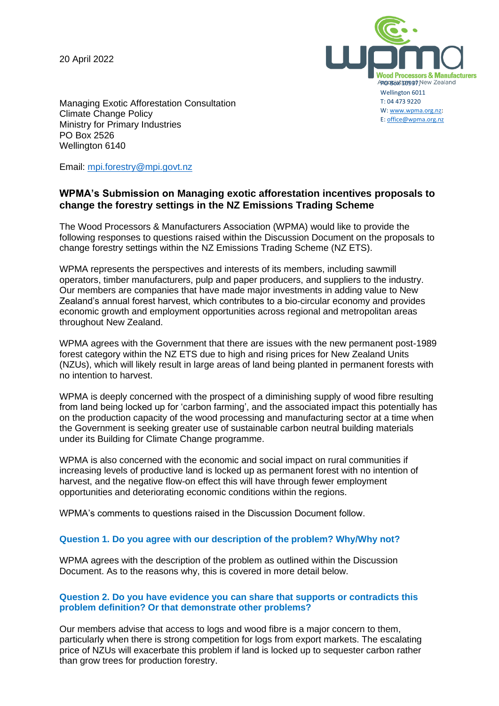20 April 2022



Managing Exotic Afforestation Consultation Climate Change Policy Ministry for Primary Industries PO Box 2526 Wellington 6140

Email: [mpi.forestry@mpi.govt.nz](mailto:mpi.forestry@mpi.govt.nz)

# **WPMA's Submission on Managing exotic afforestation incentives proposals to change the forestry settings in the NZ Emissions Trading Scheme**

The Wood Processors & Manufacturers Association (WPMA) would like to provide the following responses to questions raised within the Discussion Document on the proposals to change forestry settings within the NZ Emissions Trading Scheme (NZ ETS).

WPMA represents the perspectives and interests of its members, including sawmill operators, timber manufacturers, pulp and paper producers, and suppliers to the industry. Our members are companies that have made major investments in adding value to New Zealand's annual forest harvest, which contributes to a bio-circular economy and provides economic growth and employment opportunities across regional and metropolitan areas throughout New Zealand.

WPMA agrees with the Government that there are issues with the new permanent post-1989 forest category within the NZ ETS due to high and rising prices for New Zealand Units (NZUs), which will likely result in large areas of land being planted in permanent forests with no intention to harvest.

WPMA is deeply concerned with the prospect of a diminishing supply of wood fibre resulting from land being locked up for 'carbon farming', and the associated impact this potentially has on the production capacity of the wood processing and manufacturing sector at a time when the Government is seeking greater use of sustainable carbon neutral building materials under its Building for Climate Change programme.

WPMA is also concerned with the economic and social impact on rural communities if increasing levels of productive land is locked up as permanent forest with no intention of harvest, and the negative flow-on effect this will have through fewer employment opportunities and deteriorating economic conditions within the regions.

WPMA's comments to questions raised in the Discussion Document follow.

# **Question 1. Do you agree with our description of the problem? Why/Why not?**

WPMA agrees with the description of the problem as outlined within the Discussion Document. As to the reasons why, this is covered in more detail below.

#### **Question 2. Do you have evidence you can share that supports or contradicts this problem definition? Or that demonstrate other problems?**

Our members advise that access to logs and wood fibre is a major concern to them, particularly when there is strong competition for logs from export markets. The escalating price of NZUs will exacerbate this problem if land is locked up to sequester carbon rather than grow trees for production forestry.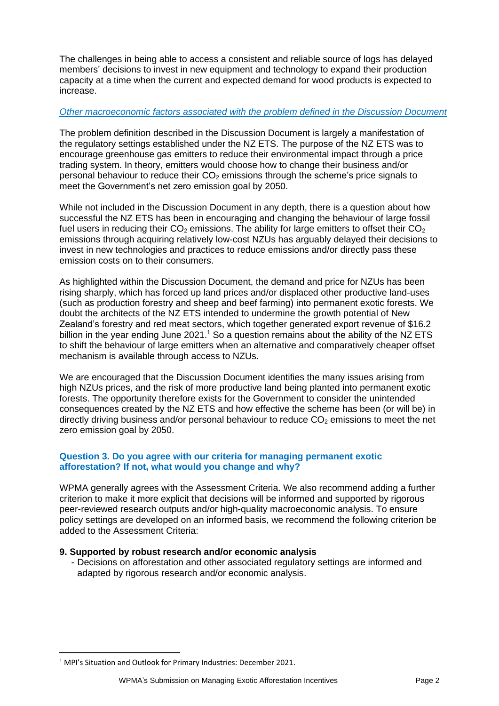The challenges in being able to access a consistent and reliable source of logs has delayed members' decisions to invest in new equipment and technology to expand their production capacity at a time when the current and expected demand for wood products is expected to increase.

# *Other macroeconomic factors associated with the problem defined in the Discussion Document*

The problem definition described in the Discussion Document is largely a manifestation of the regulatory settings established under the NZ ETS. The purpose of the NZ ETS was to encourage greenhouse gas emitters to reduce their environmental impact through a price trading system. In theory, emitters would choose how to change their business and/or personal behaviour to reduce their  $CO<sub>2</sub>$  emissions through the scheme's price signals to meet the Government's net zero emission goal by 2050.

While not included in the Discussion Document in any depth, there is a question about how successful the NZ ETS has been in encouraging and changing the behaviour of large fossil fuel users in reducing their  $CO<sub>2</sub>$  emissions. The ability for large emitters to offset their  $CO<sub>2</sub>$ emissions through acquiring relatively low-cost NZUs has arguably delayed their decisions to invest in new technologies and practices to reduce emissions and/or directly pass these emission costs on to their consumers.

As highlighted within the Discussion Document, the demand and price for NZUs has been rising sharply, which has forced up land prices and/or displaced other productive land-uses (such as production forestry and sheep and beef farming) into permanent exotic forests. We doubt the architects of the NZ ETS intended to undermine the growth potential of New Zealand's forestry and red meat sectors, which together generated export revenue of \$16.2 billion in the year ending June 2021.<sup>1</sup> So a question remains about the ability of the NZ ETS to shift the behaviour of large emitters when an alternative and comparatively cheaper offset mechanism is available through access to NZUs.

We are encouraged that the Discussion Document identifies the many issues arising from high NZUs prices, and the risk of more productive land being planted into permanent exotic forests. The opportunity therefore exists for the Government to consider the unintended consequences created by the NZ ETS and how effective the scheme has been (or will be) in directly driving business and/or personal behaviour to reduce  $CO<sub>2</sub>$  emissions to meet the net zero emission goal by 2050.

# **Question 3. Do you agree with our criteria for managing permanent exotic afforestation? If not, what would you change and why?**

WPMA generally agrees with the Assessment Criteria. We also recommend adding a further criterion to make it more explicit that decisions will be informed and supported by rigorous peer-reviewed research outputs and/or high-quality macroeconomic analysis. To ensure policy settings are developed on an informed basis, we recommend the following criterion be added to the Assessment Criteria:

# **9. Supported by robust research and/or economic analysis**

- Decisions on afforestation and other associated regulatory settings are informed and adapted by rigorous research and/or economic analysis.

<sup>1</sup> MPI's Situation and Outlook for Primary Industries: December 2021.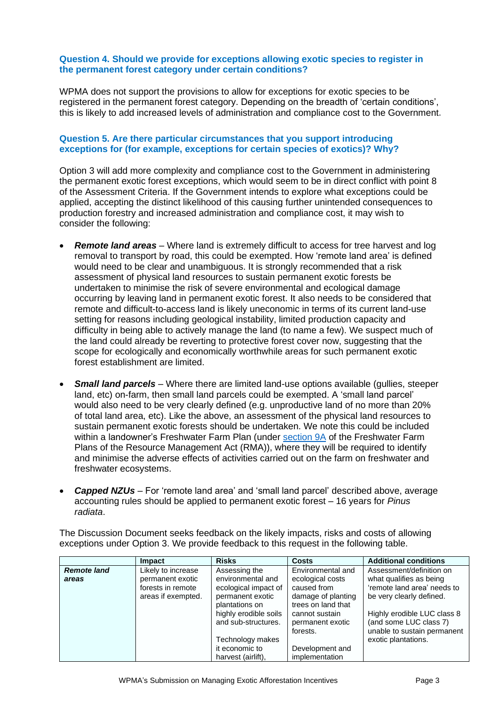### **Question 4. Should we provide for exceptions allowing exotic species to register in the permanent forest category under certain conditions?**

WPMA does not support the provisions to allow for exceptions for exotic species to be registered in the permanent forest category. Depending on the breadth of 'certain conditions', this is likely to add increased levels of administration and compliance cost to the Government**.**

### **Question 5. Are there particular circumstances that you support introducing exceptions for (for example, exceptions for certain species of exotics)? Why?**

Option 3 will add more complexity and compliance cost to the Government in administering the permanent exotic forest exceptions, which would seem to be in direct conflict with point 8 of the Assessment Criteria. If the Government intends to explore what exceptions could be applied, accepting the distinct likelihood of this causing further unintended consequences to production forestry and increased administration and compliance cost, it may wish to consider the following:

- *Remote land areas* Where land is extremely difficult to access for tree harvest and log removal to transport by road, this could be exempted. How 'remote land area' is defined would need to be clear and unambiguous. It is strongly recommended that a risk assessment of physical land resources to sustain permanent exotic forests be undertaken to minimise the risk of severe environmental and ecological damage occurring by leaving land in permanent exotic forest. It also needs to be considered that remote and difficult-to-access land is likely uneconomic in terms of its current land-use setting for reasons including geological instability, limited production capacity and difficulty in being able to actively manage the land (to name a few). We suspect much of the land could already be reverting to protective forest cover now, suggesting that the scope for ecologically and economically worthwhile areas for such permanent exotic forest establishment are limited.
- *Small land parcels* Where there are limited land-use options available (gullies, steeper land, etc) on-farm, then small land parcels could be exempted. A 'small land parcel' would also need to be very clearly defined (e.g. unproductive land of no more than 20% of total land area, etc). Like the above, an assessment of the physical land resources to sustain permanent exotic forests should be undertaken. We note this could be included within a landowner's Freshwater Farm Plan (under [section 9A](https://www.legislation.govt.nz/act/public/2020/0030/latest/LMS362301.html#LMS362294) of the Freshwater Farm Plans of the Resource Management Act (RMA)), where they will be required to identify and minimise the adverse effects of activities carried out on the farm on freshwater and freshwater ecosystems.
- *Capped NZUs* For 'remote land area' and 'small land parcel' described above, average accounting rules should be applied to permanent exotic forest – 16 years for *Pinus radiata*.

The Discussion Document seeks feedback on the likely impacts, risks and costs of allowing exceptions under Option 3. We provide feedback to this request in the following table.

|                    | <b>Impact</b>      | <b>Risks</b>          | Costs                 | <b>Additional conditions</b> |
|--------------------|--------------------|-----------------------|-----------------------|------------------------------|
| <b>Remote land</b> | Likely to increase | Assessing the         | Environmental and     | Assessment/definition on     |
| areas              | permanent exotic   | environmental and     | ecological costs      | what qualifies as being      |
|                    | forests in remote  | ecological impact of  | caused from           | 'remote land area' needs to  |
|                    | areas if exempted. | permanent exotic      | damage of planting    | be very clearly defined.     |
|                    |                    | plantations on        | trees on land that    |                              |
|                    |                    | highly erodible soils | cannot sustain        | Highly erodible LUC class 8  |
|                    |                    | and sub-structures.   | permanent exotic      | (and some LUC class 7)       |
|                    |                    |                       | forests.              | unable to sustain permanent  |
|                    |                    | Technology makes      |                       | exotic plantations.          |
|                    |                    | it economic to        | Development and       |                              |
|                    |                    | harvest (airlift).    | <i>implementation</i> |                              |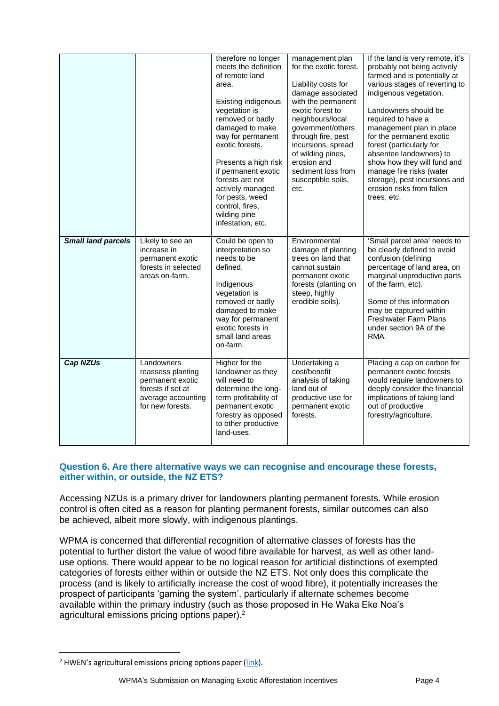|                           |                                                                                                                    | therefore no longer<br>meets the definition<br>of remote land<br>area.<br>Existing indigenous<br>vegetation is<br>removed or badly<br>damaged to make<br>way for permanent<br>exotic forests.<br>Presents a high risk<br>if permanent exotic<br>forests are not<br>actively managed<br>for pests, weed<br>control, fires,<br>wilding pine<br>infestation, etc. | management plan<br>for the exotic forest.<br>Liability costs for<br>damage associated<br>with the permanent<br>exotic forest to<br>neighbours/local<br>government/others<br>through fire, pest<br>incursions, spread<br>of wilding pines,<br>erosion and<br>sediment loss from<br>susceptible soils,<br>etc. | If the land is very remote, it's<br>probably not being actively<br>farmed and is potentially at<br>various stages of reverting to<br>indigenous vegetation.<br>Landowners should be<br>required to have a<br>management plan in place<br>for the permanent exotic<br>forest (particularly for<br>absentee landowners) to<br>show how they will fund and<br>manage fire risks (water<br>storage), pest incursions and<br>erosion risks from fallen<br>trees, etc. |
|---------------------------|--------------------------------------------------------------------------------------------------------------------|----------------------------------------------------------------------------------------------------------------------------------------------------------------------------------------------------------------------------------------------------------------------------------------------------------------------------------------------------------------|--------------------------------------------------------------------------------------------------------------------------------------------------------------------------------------------------------------------------------------------------------------------------------------------------------------|------------------------------------------------------------------------------------------------------------------------------------------------------------------------------------------------------------------------------------------------------------------------------------------------------------------------------------------------------------------------------------------------------------------------------------------------------------------|
| <b>Small land parcels</b> | Likely to see an<br>increase in<br>permanent exotic<br>forests in selected<br>areas on-farm.                       | Could be open to<br>interpretation so<br>needs to be<br>defined.<br>Indigenous<br>vegetation is<br>removed or badly<br>damaged to make<br>way for permanent<br>exotic forests in<br>small land areas<br>on-farm.                                                                                                                                               | Environmental<br>damage of planting<br>trees on land that<br>cannot sustain<br>permanent exotic<br>forests (planting on<br>steep, highly<br>erodible soils).                                                                                                                                                 | 'Small parcel area' needs to<br>be clearly defined to avoid<br>confusion (defining<br>percentage of land area, on<br>marginal unproductive parts<br>of the farm, etc).<br>Some of this information<br>may be captured within<br><b>Freshwater Farm Plans</b><br>under section 9A of the<br>RMA.                                                                                                                                                                  |
| <b>Cap NZUs</b>           | Landowners<br>reassess planting<br>permanent exotic<br>forests if set at<br>average accounting<br>for new forests. | Higher for the<br>landowner as they<br>will need to<br>determine the long-<br>term profitability of<br>permanent exotic<br>forestry as opposed<br>to other productive<br>land-uses.                                                                                                                                                                            | Undertaking a<br>cost/benefit<br>analysis of taking<br>land out of<br>productive use for<br>permanent exotic<br>forests.                                                                                                                                                                                     | Placing a cap on carbon for<br>permanent exotic forests<br>would require landowners to<br>deeply consider the financial<br>implications of taking land<br>out of productive<br>forestry/agriculture.                                                                                                                                                                                                                                                             |

# **Question 6. Are there alternative ways we can recognise and encourage these forests, either within, or outside, the NZ ETS?**

Accessing NZUs is a primary driver for landowners planting permanent forests. While erosion control is often cited as a reason for planting permanent forests, similar outcomes can also be achieved, albeit more slowly, with indigenous plantings.

WPMA is concerned that differential recognition of alternative classes of forests has the potential to further distort the value of wood fibre available for harvest, as well as other landuse options. There would appear to be no logical reason for artificial distinctions of exempted categories of forests either within or outside the NZ ETS. Not only does this complicate the process (and is likely to artificially increase the cost of wood fibre), it potentially increases the prospect of participants 'gaming the system', particularly if alternate schemes become available within the primary industry (such as those proposed in He Waka Eke Noa's agricultural emissions pricing options paper).<sup>2</sup>

<sup>&</sup>lt;sup>2</sup> HWEN's agricultural emissions pricing options paper [\(link\)](https://hewakaekenoa.nz/wp-content/uploads/2021/11/He-Waka-Eke-Noa-Draft-Engagement-Document-November-December-2021.pdf).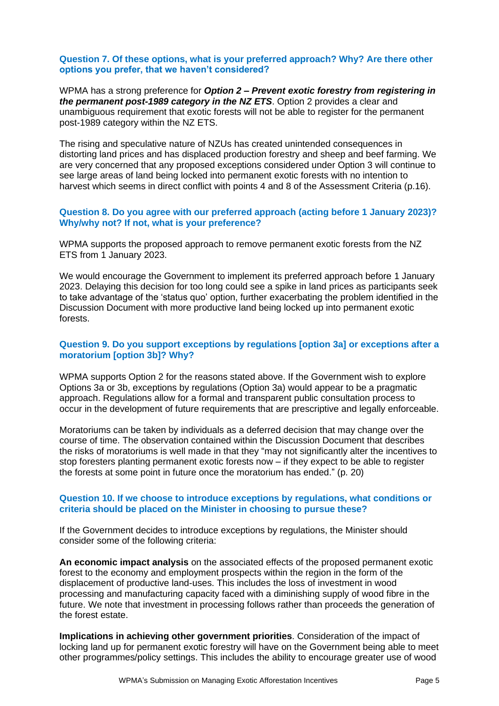#### **Question 7. Of these options, what is your preferred approach? Why? Are there other options you prefer, that we haven't considered?**

WPMA has a strong preference for *Option 2* **–** *Prevent exotic forestry from registering in the permanent post-1989 category in the NZ ETS*. Option 2 provides a clear and unambiguous requirement that exotic forests will not be able to register for the permanent post-1989 category within the NZ ETS.

The rising and speculative nature of NZUs has created unintended consequences in distorting land prices and has displaced production forestry and sheep and beef farming. We are very concerned that any proposed exceptions considered under Option 3 will continue to see large areas of land being locked into permanent exotic forests with no intention to harvest which seems in direct conflict with points 4 and 8 of the Assessment Criteria (p.16).

#### **Question 8. Do you agree with our preferred approach (acting before 1 January 2023)? Why/why not? If not, what is your preference?**

WPMA supports the proposed approach to remove permanent exotic forests from the NZ ETS from 1 January 2023.

We would encourage the Government to implement its preferred approach before 1 January 2023. Delaying this decision for too long could see a spike in land prices as participants seek to take advantage of the 'status quo' option, further exacerbating the problem identified in the Discussion Document with more productive land being locked up into permanent exotic forests.

### **Question 9. Do you support exceptions by regulations [option 3a] or exceptions after a moratorium [option 3b]? Why?**

WPMA supports Option 2 for the reasons stated above. If the Government wish to explore Options 3a or 3b, exceptions by regulations (Option 3a) would appear to be a pragmatic approach. Regulations allow for a formal and transparent public consultation process to occur in the development of future requirements that are prescriptive and legally enforceable.

Moratoriums can be taken by individuals as a deferred decision that may change over the course of time. The observation contained within the Discussion Document that describes the risks of moratoriums is well made in that they "may not significantly alter the incentives to stop foresters planting permanent exotic forests now – if they expect to be able to register the forests at some point in future once the moratorium has ended." (p. 20)

#### **Question 10. If we choose to introduce exceptions by regulations, what conditions or criteria should be placed on the Minister in choosing to pursue these?**

If the Government decides to introduce exceptions by regulations, the Minister should consider some of the following criteria:

**An economic impact analysis** on the associated effects of the proposed permanent exotic forest to the economy and employment prospects within the region in the form of the displacement of productive land-uses. This includes the loss of investment in wood processing and manufacturing capacity faced with a diminishing supply of wood fibre in the future. We note that investment in processing follows rather than proceeds the generation of the forest estate.

**Implications in achieving other government priorities**. Consideration of the impact of locking land up for permanent exotic forestry will have on the Government being able to meet other programmes/policy settings. This includes the ability to encourage greater use of wood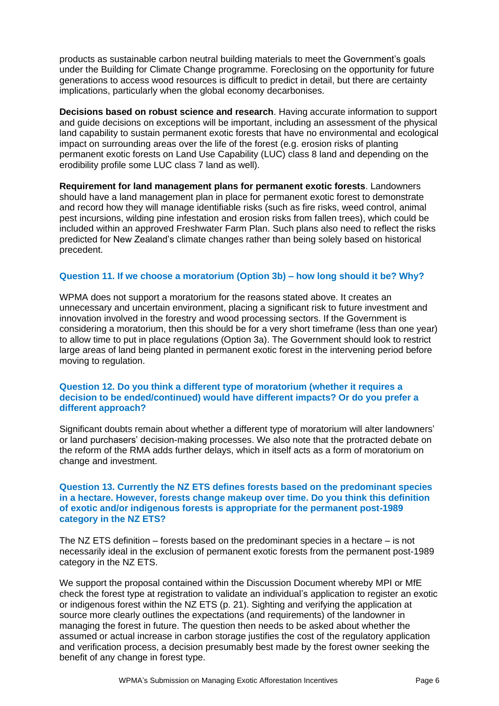products as sustainable carbon neutral building materials to meet the Government's goals under the Building for Climate Change programme. Foreclosing on the opportunity for future generations to access wood resources is difficult to predict in detail, but there are certainty implications, particularly when the global economy decarbonises.

**Decisions based on robust science and research**. Having accurate information to support and guide decisions on exceptions will be important, including an assessment of the physical land capability to sustain permanent exotic forests that have no environmental and ecological impact on surrounding areas over the life of the forest (e.g. erosion risks of planting permanent exotic forests on Land Use Capability (LUC) class 8 land and depending on the erodibility profile some LUC class 7 land as well).

**Requirement for land management plans for permanent exotic forests**. Landowners should have a land management plan in place for permanent exotic forest to demonstrate and record how they will manage identifiable risks (such as fire risks, weed control, animal pest incursions, wilding pine infestation and erosion risks from fallen trees), which could be included within an approved Freshwater Farm Plan. Such plans also need to reflect the risks predicted for New Zealand's climate changes rather than being solely based on historical precedent.

# **Question 11. If we choose a moratorium (Option 3b) – how long should it be? Why?**

WPMA does not support a moratorium for the reasons stated above. It creates an unnecessary and uncertain environment, placing a significant risk to future investment and innovation involved in the forestry and wood processing sectors. If the Government is considering a moratorium, then this should be for a very short timeframe (less than one year) to allow time to put in place regulations (Option 3a). The Government should look to restrict large areas of land being planted in permanent exotic forest in the intervening period before moving to regulation.

#### **Question 12. Do you think a different type of moratorium (whether it requires a decision to be ended/continued) would have different impacts? Or do you prefer a different approach?**

Significant doubts remain about whether a different type of moratorium will alter landowners' or land purchasers' decision-making processes. We also note that the protracted debate on the reform of the RMA adds further delays, which in itself acts as a form of moratorium on change and investment.

#### **Question 13. Currently the NZ ETS defines forests based on the predominant species in a hectare. However, forests change makeup over time. Do you think this definition of exotic and/or indigenous forests is appropriate for the permanent post-1989 category in the NZ ETS?**

The NZ ETS definition – forests based on the predominant species in a hectare – is not necessarily ideal in the exclusion of permanent exotic forests from the permanent post-1989 category in the NZ ETS.

We support the proposal contained within the Discussion Document whereby MPI or MfE check the forest type at registration to validate an individual's application to register an exotic or indigenous forest within the NZ ETS (p. 21). Sighting and verifying the application at source more clearly outlines the expectations (and requirements) of the landowner in managing the forest in future. The question then needs to be asked about whether the assumed or actual increase in carbon storage justifies the cost of the regulatory application and verification process, a decision presumably best made by the forest owner seeking the benefit of any change in forest type.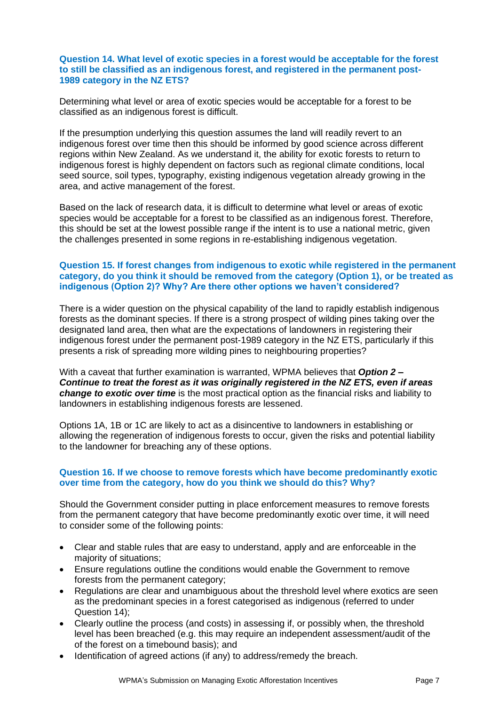### **Question 14. What level of exotic species in a forest would be acceptable for the forest to still be classified as an indigenous forest, and registered in the permanent post-1989 category in the NZ ETS?**

Determining what level or area of exotic species would be acceptable for a forest to be classified as an indigenous forest is difficult.

If the presumption underlying this question assumes the land will readily revert to an indigenous forest over time then this should be informed by good science across different regions within New Zealand. As we understand it, the ability for exotic forests to return to indigenous forest is highly dependent on factors such as regional climate conditions, local seed source, soil types, typography, existing indigenous vegetation already growing in the area, and active management of the forest.

Based on the lack of research data, it is difficult to determine what level or areas of exotic species would be acceptable for a forest to be classified as an indigenous forest. Therefore, this should be set at the lowest possible range if the intent is to use a national metric, given the challenges presented in some regions in re-establishing indigenous vegetation.

# **Question 15. If forest changes from indigenous to exotic while registered in the permanent category, do you think it should be removed from the category (Option 1), or be treated as indigenous (Option 2)? Why? Are there other options we haven't considered?**

There is a wider question on the physical capability of the land to rapidly establish indigenous forests as the dominant species. If there is a strong prospect of wilding pines taking over the designated land area, then what are the expectations of landowners in registering their indigenous forest under the permanent post-1989 category in the NZ ETS, particularly if this presents a risk of spreading more wilding pines to neighbouring properties?

With a caveat that further examination is warranted, WPMA believes that *Option 2* **–** *Continue to treat the forest as it was originally registered in the NZ ETS, even if areas change to exotic over time* is the most practical option as the financial risks and liability to landowners in establishing indigenous forests are lessened.

Options 1A, 1B or 1C are likely to act as a disincentive to landowners in establishing or allowing the regeneration of indigenous forests to occur, given the risks and potential liability to the landowner for breaching any of these options.

# **Question 16. If we choose to remove forests which have become predominantly exotic over time from the category, how do you think we should do this? Why?**

Should the Government consider putting in place enforcement measures to remove forests from the permanent category that have become predominantly exotic over time, it will need to consider some of the following points:

- Clear and stable rules that are easy to understand, apply and are enforceable in the majority of situations;
- Ensure regulations outline the conditions would enable the Government to remove forests from the permanent category;
- Regulations are clear and unambiguous about the threshold level where exotics are seen as the predominant species in a forest categorised as indigenous (referred to under Question 14);
- Clearly outline the process (and costs) in assessing if, or possibly when, the threshold level has been breached (e.g. this may require an independent assessment/audit of the of the forest on a timebound basis); and
- Identification of agreed actions (if any) to address/remedy the breach.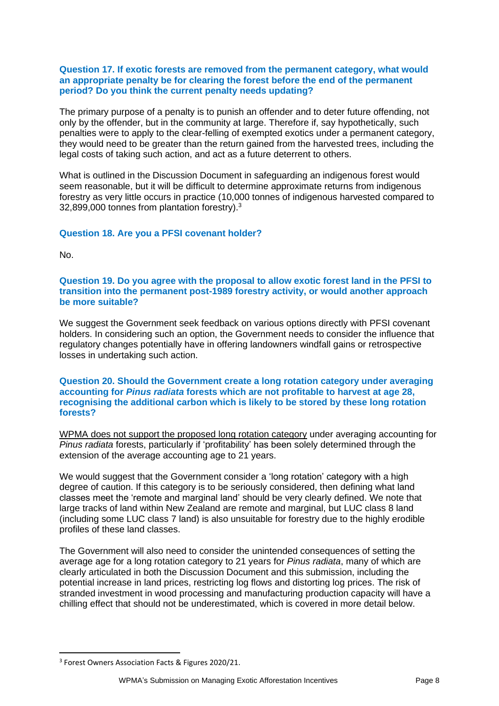### **Question 17. If exotic forests are removed from the permanent category, what would an appropriate penalty be for clearing the forest before the end of the permanent period? Do you think the current penalty needs updating?**

The primary purpose of a penalty is to punish an offender and to deter future offending, not only by the offender, but in the community at large. Therefore if, say hypothetically, such penalties were to apply to the clear-felling of exempted exotics under a permanent category, they would need to be greater than the return gained from the harvested trees, including the legal costs of taking such action, and act as a future deterrent to others.

What is outlined in the Discussion Document in safeguarding an indigenous forest would seem reasonable, but it will be difficult to determine approximate returns from indigenous forestry as very little occurs in practice (10,000 tonnes of indigenous harvested compared to 32,899,000 tonnes from plantation forestry).<sup>3</sup>

# **Question 18. Are you a PFSI covenant holder?**

No.

#### **Question 19. Do you agree with the proposal to allow exotic forest land in the PFSI to transition into the permanent post-1989 forestry activity, or would another approach be more suitable?**

We suggest the Government seek feedback on various options directly with PFSI covenant holders. In considering such an option, the Government needs to consider the influence that regulatory changes potentially have in offering landowners windfall gains or retrospective losses in undertaking such action.

#### **Question 20. Should the Government create a long rotation category under averaging accounting for** *Pinus radiata* **forests which are not profitable to harvest at age 28, recognising the additional carbon which is likely to be stored by these long rotation forests?**

WPMA does not support the proposed long rotation category under averaging accounting for *Pinus radiata* forests, particularly if 'profitability' has been solely determined through the extension of the average accounting age to 21 years.

We would suggest that the Government consider a 'long rotation' category with a high degree of caution. If this category is to be seriously considered, then defining what land classes meet the 'remote and marginal land' should be very clearly defined. We note that large tracks of land within New Zealand are remote and marginal, but LUC class 8 land (including some LUC class 7 land) is also unsuitable for forestry due to the highly erodible profiles of these land classes.

The Government will also need to consider the unintended consequences of setting the average age for a long rotation category to 21 years for *Pinus radiata*, many of which are clearly articulated in both the Discussion Document and this submission, including the potential increase in land prices, restricting log flows and distorting log prices. The risk of stranded investment in wood processing and manufacturing production capacity will have a chilling effect that should not be underestimated, which is covered in more detail below.

<sup>3</sup> Forest Owners Association Facts & Figures 2020/21.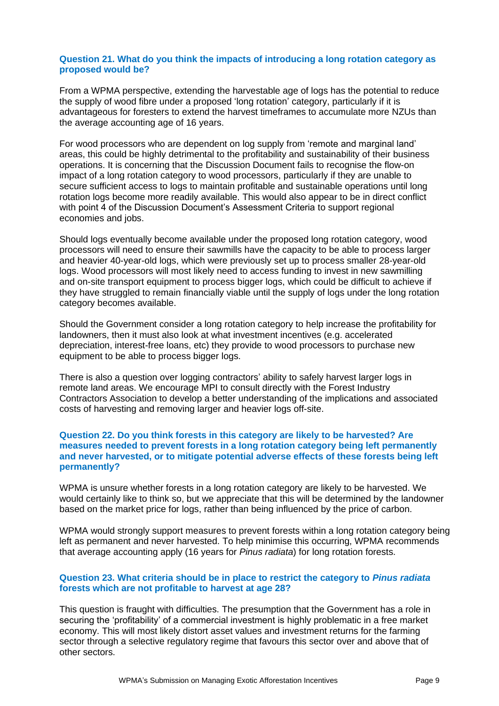### **Question 21. What do you think the impacts of introducing a long rotation category as proposed would be?**

From a WPMA perspective, extending the harvestable age of logs has the potential to reduce the supply of wood fibre under a proposed 'long rotation' category, particularly if it is advantageous for foresters to extend the harvest timeframes to accumulate more NZUs than the average accounting age of 16 years.

For wood processors who are dependent on log supply from 'remote and marginal land' areas, this could be highly detrimental to the profitability and sustainability of their business operations. It is concerning that the Discussion Document fails to recognise the flow-on impact of a long rotation category to wood processors, particularly if they are unable to secure sufficient access to logs to maintain profitable and sustainable operations until long rotation logs become more readily available. This would also appear to be in direct conflict with point 4 of the Discussion Document's Assessment Criteria to support regional economies and jobs.

Should logs eventually become available under the proposed long rotation category, wood processors will need to ensure their sawmills have the capacity to be able to process larger and heavier 40-year-old logs, which were previously set up to process smaller 28-year-old logs. Wood processors will most likely need to access funding to invest in new sawmilling and on-site transport equipment to process bigger logs, which could be difficult to achieve if they have struggled to remain financially viable until the supply of logs under the long rotation category becomes available.

Should the Government consider a long rotation category to help increase the profitability for landowners, then it must also look at what investment incentives (e.g. accelerated depreciation, interest-free loans, etc) they provide to wood processors to purchase new equipment to be able to process bigger logs.

There is also a question over logging contractors' ability to safely harvest larger logs in remote land areas. We encourage MPI to consult directly with the Forest Industry Contractors Association to develop a better understanding of the implications and associated costs of harvesting and removing larger and heavier logs off-site.

#### **Question 22. Do you think forests in this category are likely to be harvested? Are measures needed to prevent forests in a long rotation category being left permanently and never harvested, or to mitigate potential adverse effects of these forests being left permanently?**

WPMA is unsure whether forests in a long rotation category are likely to be harvested. We would certainly like to think so, but we appreciate that this will be determined by the landowner based on the market price for logs, rather than being influenced by the price of carbon.

WPMA would strongly support measures to prevent forests within a long rotation category being left as permanent and never harvested. To help minimise this occurring, WPMA recommends that average accounting apply (16 years for *Pinus radiata*) for long rotation forests.

# **Question 23. What criteria should be in place to restrict the category to** *Pinus radiata* **forests which are not profitable to harvest at age 28?**

This question is fraught with difficulties. The presumption that the Government has a role in securing the 'profitability' of a commercial investment is highly problematic in a free market economy. This will most likely distort asset values and investment returns for the farming sector through a selective regulatory regime that favours this sector over and above that of other sectors.